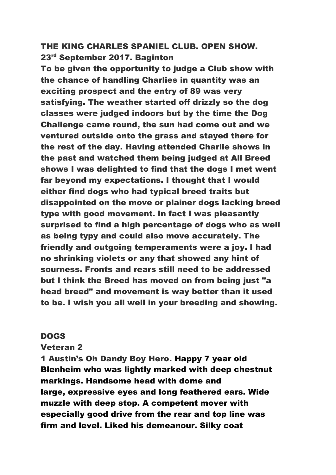# THE KING CHARLES SPANIEL CLUB. OPEN SHOW. 23rd September 2017. Baginton

To be given the opportunity to judge a Club show with the chance of handling Charlies in quantity was an exciting prospect and the entry of 89 was very satisfying. The weather started off drizzly so the dog classes were judged indoors but by the time the Dog Challenge came round, the sun had come out and we ventured outside onto the grass and stayed there for the rest of the day. Having attended Charlie shows in the past and watched them being judged at All Breed shows I was delighted to find that the dogs I met went far beyond my expectations. I thought that I would either find dogs who had typical breed traits but disappointed on the move or plainer dogs lacking breed type with good movement. In fact I was pleasantly surprised to find a high percentage of dogs who as well as being typy and could also move accurately. The friendly and outgoing temperaments were a joy. I had no shrinking violets or any that showed any hint of sourness. Fronts and rears still need to be addressed but I think the Breed has moved on from being just "a head breed" and movement is way better than it used to be. I wish you all well in your breeding and showing.

#### DOGS

#### Veteran 2

1 Austin's Oh Dandy Boy Hero. Happy 7 year old Blenheim who was lightly marked with deep chestnut markings. Handsome head with dome and large, expressive eyes and long feathered ears. Wide muzzle with deep stop. A competent mover with especially good drive from the rear and top line was firm and level. Liked his demeanour. Silky coat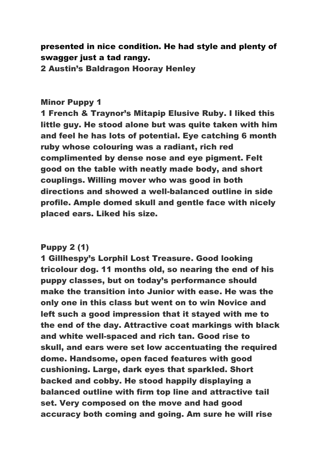# presented in nice condition. He had style and plenty of swagger just a tad rangy.

2 Austin's Baldragon Hooray Henley

#### Minor Puppy 1

1 French & Traynor's Mitapip Elusive Ruby. I liked this little guy. He stood alone but was quite taken with him and feel he has lots of potential. Eye catching 6 month ruby whose colouring was a radiant, rich red complimented by dense nose and eye pigment. Felt good on the table with neatly made body, and short couplings. Willing mover who was good in both directions and showed a well-balanced outline in side profile. Ample domed skull and gentle face with nicely placed ears. Liked his size.

# Puppy 2 (1)

1 Gillhespy's Lorphil Lost Treasure. Good looking tricolour dog. 11 months old, so nearing the end of his puppy classes, but on today's performance should make the transition into Junior with ease. He was the only one in this class but went on to win Novice and left such a good impression that it stayed with me to the end of the day. Attractive coat markings with black and white well-spaced and rich tan. Good rise to skull, and ears were set low accentuating the required dome. Handsome, open faced features with good cushioning. Large, dark eyes that sparkled. Short backed and cobby. He stood happily displaying a balanced outline with firm top line and attractive tail set. Very composed on the move and had good accuracy both coming and going. Am sure he will rise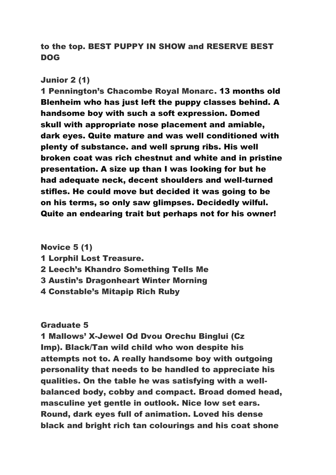to the top. BEST PUPPY IN SHOW and RESERVE BEST DOG

#### Junior 2 (1)

1 Pennington's Chacombe Royal Monarc. 13 months old Blenheim who has just left the puppy classes behind. A handsome boy with such a soft expression. Domed skull with appropriate nose placement and amiable, dark eyes. Quite mature and was well conditioned with plenty of substance. and well sprung ribs. His well broken coat was rich chestnut and white and in pristine presentation. A size up than I was looking for but he had adequate neck, decent shoulders and well-turned stifles. He could move but decided it was going to be on his terms, so only saw glimpses. Decidedly wilful. Quite an endearing trait but perhaps not for his owner!

Novice 5 (1)

- 1 Lorphil Lost Treasure.
- 2 Leech's Khandro Something Tells Me
- 3 Austin's Dragonheart Winter Morning
- 4 Constable's Mitapip Rich Ruby

#### Graduate 5

1 Mallows' X-Jewel Od Dvou Orechu Binglui (Cz Imp). Black/Tan wild child who won despite his attempts not to. A really handsome boy with outgoing personality that needs to be handled to appreciate his qualities. On the table he was satisfying with a wellbalanced body, cobby and compact. Broad domed head, masculine yet gentle in outlook. Nice low set ears. Round, dark eyes full of animation. Loved his dense black and bright rich tan colourings and his coat shone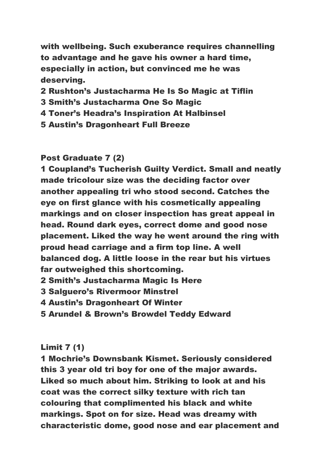with wellbeing. Such exuberance requires channelling to advantage and he gave his owner a hard time, especially in action, but convinced me he was deserving.

- 2 Rushton's Justacharma He Is So Magic at Tiflin
- 3 Smith's Justacharma One So Magic
- 4 Toner's Headra's Inspiration At Halbinsel
- 5 Austin's Dragonheart Full Breeze

Post Graduate 7 (2)

1 Coupland's Tucherish Guilty Verdict. Small and neatly made tricolour size was the deciding factor over another appealing tri who stood second. Catches the eye on first glance with his cosmetically appealing markings and on closer inspection has great appeal in head. Round dark eyes, correct dome and good nose placement. Liked the way he went around the ring with proud head carriage and a firm top line. A well balanced dog. A little loose in the rear but his virtues far outweighed this shortcoming.

2 Smith's Justacharma Magic Is Here

- 3 Salguero's Rivermoor Minstrel
- 4 Austin's Dragonheart Of Winter
- 5 Arundel & Brown's Browdel Teddy Edward

# Limit 7 (1)

1 Mochrie's Downsbank Kismet. Seriously considered this 3 year old tri boy for one of the major awards. Liked so much about him. Striking to look at and his coat was the correct silky texture with rich tan colouring that complimented his black and white markings. Spot on for size. Head was dreamy with characteristic dome, good nose and ear placement and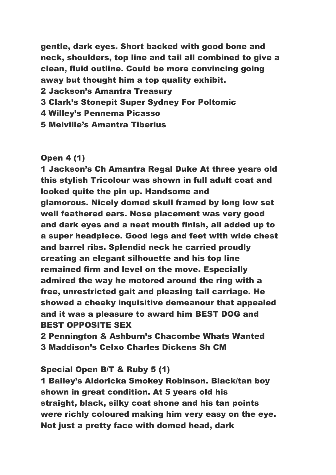gentle, dark eyes. Short backed with good bone and neck, shoulders, top line and tail all combined to give a clean, fluid outline. Could be more convincing going away but thought him a top quality exhibit.

- 2 Jackson's Amantra Treasury
- 3 Clark's Stonepit Super Sydney For Poltomic
- 4 Willey's Pennema Picasso
- 5 Melville's Amantra Tiberius

# Open 4 (1)

1 Jackson's Ch Amantra Regal Duke At three years old this stylish Tricolour was shown in full adult coat and looked quite the pin up. Handsome and glamorous. Nicely domed skull framed by long low set well feathered ears. Nose placement was very good and dark eyes and a neat mouth finish, all added up to a super headpiece. Good legs and feet with wide chest and barrel ribs. Splendid neck he carried proudly creating an elegant silhouette and his top line remained firm and level on the move. Especially admired the way he motored around the ring with a free, unrestricted gait and pleasing tail carriage. He showed a cheeky inquisitive demeanour that appealed and it was a pleasure to award him BEST DOG and BEST OPPOSITE SEX

2 Pennington & Ashburn's Chacombe Whats Wanted 3 Maddison's Celxo Charles Dickens Sh CM

# Special Open B/T & Ruby 5 (1)

1 Bailey's Aldoricka Smokey Robinson. Black/tan boy shown in great condition. At 5 years old his straight, black, silky coat shone and his tan points were richly coloured making him very easy on the eye. Not just a pretty face with domed head, dark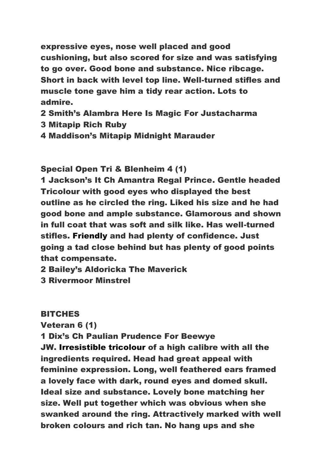expressive eyes, nose well placed and good cushioning, but also scored for size and was satisfying to go over. Good bone and substance. Nice ribcage. Short in back with level top line. Well-turned stifles and muscle tone gave him a tidy rear action. Lots to admire.

- 2 Smith's Alambra Here Is Magic For Justacharma
- 3 Mitapip Rich Ruby
- 4 Maddison's Mitapip Midnight Marauder

Special Open Tri & Blenheim 4 (1)

1 Jackson's It Ch Amantra Regal Prince. Gentle headed Tricolour with good eyes who displayed the best outline as he circled the ring. Liked his size and he had good bone and ample substance. Glamorous and shown in full coat that was soft and silk like. Has well-turned stifles. Friendly and had plenty of confidence. Just going a tad close behind but has plenty of good points that compensate.

2 Bailey's Aldoricka The Maverick

3 Rivermoor Minstrel

# **BITCHES**

Veteran 6 (1)

1 Dix's Ch Paulian Prudence For Beewye JW. Irresistible tricolour of a high calibre with all the ingredients required. Head had great appeal with feminine expression. Long, well feathered ears framed a lovely face with dark, round eyes and domed skull. Ideal size and substance. Lovely bone matching her size. Well put together which was obvious when she swanked around the ring. Attractively marked with well broken colours and rich tan. No hang ups and she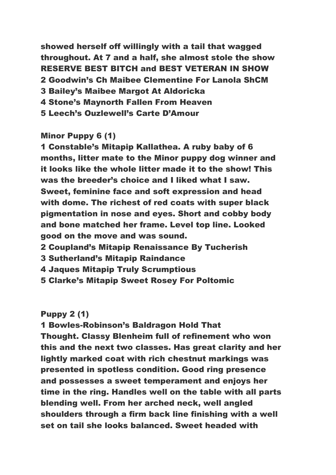showed herself off willingly with a tail that wagged throughout. At 7 and a half, she almost stole the show RESERVE BEST BITCH and BEST VETERAN IN SHOW 2 Goodwin's Ch Maibee Clementine For Lanola ShCM 3 Bailey's Maibee Margot At Aldoricka 4 Stone's Maynorth Fallen From Heaven 5 Leech's Ouzlewell's Carte D'Amour

#### Minor Puppy 6 (1)

1 Constable's Mitapip Kallathea. A ruby baby of 6 months, litter mate to the Minor puppy dog winner and it looks like the whole litter made it to the show! This was the breeder's choice and I liked what I saw. Sweet, feminine face and soft expression and head with dome. The richest of red coats with super black pigmentation in nose and eyes. Short and cobby body and bone matched her frame. Level top line. Looked good on the move and was sound.

- 2 Coupland's Mitapip Renaissance By Tucherish
- 3 Sutherland's Mitapip Raindance
- 4 Jaques Mitapip Truly Scrumptious
- 5 Clarke's Mitapip Sweet Rosey For Poltomic

#### Puppy 2 (1)

1 Bowles-Robinson's Baldragon Hold That Thought. Classy Blenheim full of refinement who won this and the next two classes. Has great clarity and her lightly marked coat with rich chestnut markings was presented in spotless condition. Good ring presence and possesses a sweet temperament and enjoys her time in the ring. Handles well on the table with all parts blending well. From her arched neck, well angled shoulders through a firm back line finishing with a well set on tail she looks balanced. Sweet headed with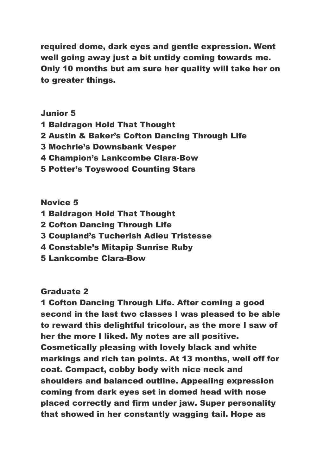required dome, dark eyes and gentle expression. Went well going away just a bit untidy coming towards me. Only 10 months but am sure her quality will take her on to greater things.

#### Junior 5

- 1 Baldragon Hold That Thought
- 2 Austin & Baker's Cofton Dancing Through Life
- 3 Mochrie's Downsbank Vesper
- 4 Champion's Lankcombe Clara-Bow
- 5 Potter's Toyswood Counting Stars

#### Novice 5

- 1 Baldragon Hold That Thought
- 2 Cofton Dancing Through Life
- 3 Coupland's Tucherish Adieu Tristesse
- 4 Constable's Mitapip Sunrise Ruby
- 5 Lankcombe Clara-Bow

#### Graduate 2

1 Cofton Dancing Through Life. After coming a good second in the last two classes I was pleased to be able to reward this delightful tricolour, as the more I saw of her the more I liked. My notes are all positive. Cosmetically pleasing with lovely black and white markings and rich tan points. At 13 months, well off for coat. Compact, cobby body with nice neck and shoulders and balanced outline. Appealing expression coming from dark eyes set in domed head with nose placed correctly and firm under jaw. Super personality that showed in her constantly wagging tail. Hope as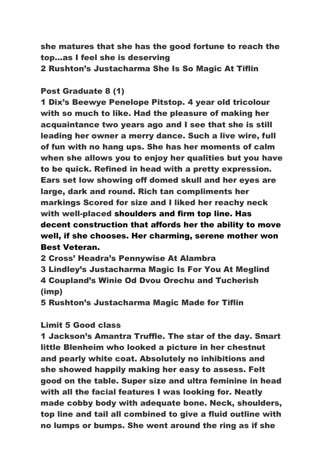she matures that she has the good fortune to reach the top…as I feel she is deserving

2 Rushton's Justacharma She Is So Magic At Tiflin

# Post Graduate 8 (1)

1 Dix's Beewye Penelope Pitstop. 4 year old tricolour with so much to like. Had the pleasure of making her acquaintance two years ago and I see that she is still leading her owner a merry dance. Such a live wire, full of fun with no hang ups. She has her moments of calm when she allows you to enjoy her qualities but you have to be quick. Refined in head with a pretty expression. Ears set low showing off domed skull and her eyes are large, dark and round. Rich tan compliments her markings Scored for size and I liked her reachy neck with well-placed shoulders and firm top line. Has decent construction that affords her the ability to move well, if she chooses. Her charming, serene mother won Best Veteran.

2 Cross' Headra's Pennywise At Alambra

3 Lindley's Justacharma Magic Is For You At Meglind 4 Coupland's Winie Od Dvou Orechu and Tucherish (imp)

5 Rushton's Justacharma Magic Made for Tiflin

# Limit 5 Good class

1 Jackson's Amantra Truffle. The star of the day. Smart little Blenheim who looked a picture in her chestnut and pearly white coat. Absolutely no inhibitions and she showed happily making her easy to assess. Felt good on the table. Super size and ultra feminine in head with all the facial features I was looking for. Neatly made cobby body with adequate bone. Neck, shoulders, top line and tail all combined to give a fluid outline with no lumps or bumps. She went around the ring as if she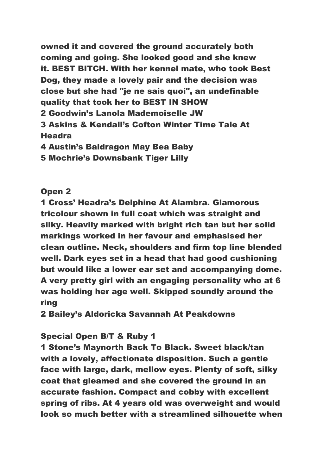owned it and covered the ground accurately both coming and going. She looked good and she knew it. BEST BITCH. With her kennel mate, who took Best Dog, they made a lovely pair and the decision was close but she had "je ne sais quoi", an undefinable quality that took her to BEST IN SHOW 2 Goodwin's Lanola Mademoiselle JW 3 Askins & Kendall's Cofton Winter Time Tale At Headra

4 Austin's Baldragon May Bea Baby

5 Mochrie's Downsbank Tiger Lilly

# Open 2

1 Cross' Headra's Delphine At Alambra. Glamorous tricolour shown in full coat which was straight and silky. Heavily marked with bright rich tan but her solid markings worked in her favour and emphasised her clean outline. Neck, shoulders and firm top line blended well. Dark eyes set in a head that had good cushioning but would like a lower ear set and accompanying dome. A very pretty girl with an engaging personality who at 6 was holding her age well. Skipped soundly around the ring

2 Bailey's Aldoricka Savannah At Peakdowns

# Special Open B/T & Ruby 1

1 Stone's Maynorth Back To Black. Sweet black/tan with a lovely, affectionate disposition. Such a gentle face with large, dark, mellow eyes. Plenty of soft, silky coat that gleamed and she covered the ground in an accurate fashion. Compact and cobby with excellent spring of ribs. At 4 years old was overweight and would look so much better with a streamlined silhouette when